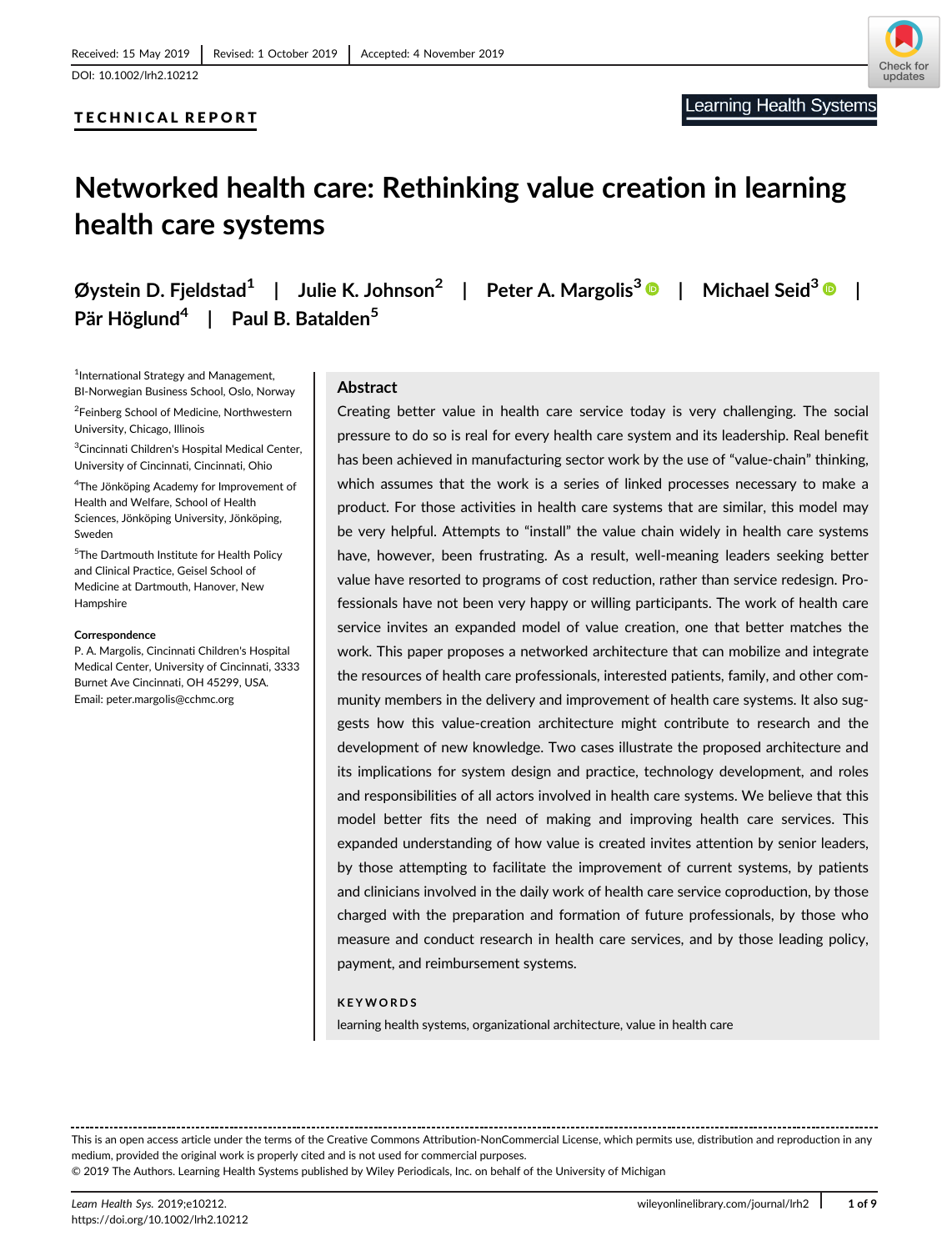# earning Health Systems

# TECHNICAL REPORT



# **Networked health care: Rethinking value creation in learning health care systems**

**Øystein D. Fjeldstad1 | Julie K. Johnson<sup>2</sup> | Peter A. Margolis<sup>3</sup> | Michael Seid3 | Pär Höglund<sup>4</sup> | Paul B. Batalden<sup>5</sup>**

1 International Strategy and Management, BI-Norwegian Business School, Oslo, Norway <sup>2</sup>Feinberg School of Medicine, Northwestern University, Chicago, Illinois

<sup>3</sup> Cincinnati Children's Hospital Medical Center, University of Cincinnati, Cincinnati, Ohio

4 The Jönköping Academy for Improvement of Health and Welfare, School of Health Sciences, Jönköping University, Jönköping, Sweden

5 The Dartmouth Institute for Health Policy and Clinical Practice, Geisel School of Medicine at Dartmouth, Hanover, New Hampshire

#### **Correspondence**

P. A. Margolis, Cincinnati Children's Hospital Medical Center, University of Cincinnati, 3333 Burnet Ave Cincinnati, OH 45299, USA. Email: [peter.margolis@cchmc.org](mailto:peter.margolis@cchmc.org)

#### **Abstract**

Creating better value in health care service today is very challenging. The social pressure to do so is real for every health care system and its leadership. Real benefit has been achieved in manufacturing sector work by the use of "value-chain" thinking, which assumes that the work is a series of linked processes necessary to make a product. For those activities in health care systems that are similar, this model may be very helpful. Attempts to "install" the value chain widely in health care systems have, however, been frustrating. As a result, well-meaning leaders seeking better value have resorted to programs of cost reduction, rather than service redesign. Professionals have not been very happy or willing participants. The work of health care service invites an expanded model of value creation, one that better matches the work. This paper proposes a networked architecture that can mobilize and integrate the resources of health care professionals, interested patients, family, and other community members in the delivery and improvement of health care systems. It also suggests how this value-creation architecture might contribute to research and the development of new knowledge. Two cases illustrate the proposed architecture and its implications for system design and practice, technology development, and roles and responsibilities of all actors involved in health care systems. We believe that this model better fits the need of making and improving health care services. This expanded understanding of how value is created invites attention by senior leaders, by those attempting to facilitate the improvement of current systems, by patients and clinicians involved in the daily work of health care service coproduction, by those charged with the preparation and formation of future professionals, by those who measure and conduct research in health care services, and by those leading policy, payment, and reimbursement systems.

#### **KEYWORDS**

learning health systems, organizational architecture, value in health care

This is an open access article under the terms of the [Creative Commons Attribution-NonCommercial](http://creativecommons.org/licenses/by-nc/4.0/) License, which permits use, distribution and reproduction in any medium, provided the original work is properly cited and is not used for commercial purposes.

© 2019 The Authors. Learning Health Systems published by Wiley Periodicals, Inc. on behalf of the University of Michigan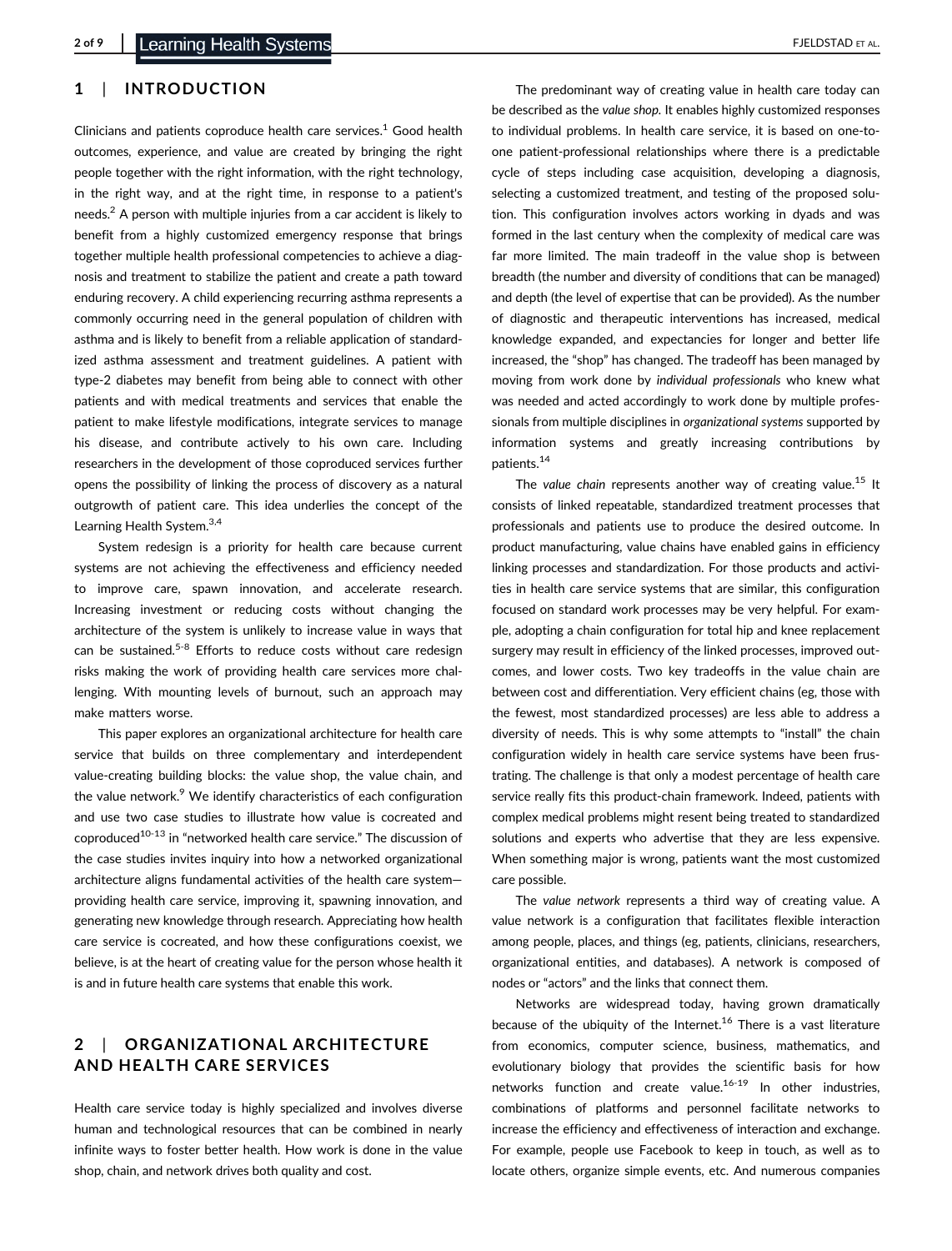# **1** | **INTRODUCTION**

Clinicians and patients coproduce health care services. $1$  Good health outcomes, experience, and value are created by bringing the right people together with the right information, with the right technology, in the right way, and at the right time, in response to a patient's needs.2 A person with multiple injuries from a car accident is likely to benefit from a highly customized emergency response that brings together multiple health professional competencies to achieve a diagnosis and treatment to stabilize the patient and create a path toward enduring recovery. A child experiencing recurring asthma represents a commonly occurring need in the general population of children with asthma and is likely to benefit from a reliable application of standardized asthma assessment and treatment guidelines. A patient with type-2 diabetes may benefit from being able to connect with other patients and with medical treatments and services that enable the patient to make lifestyle modifications, integrate services to manage his disease, and contribute actively to his own care. Including researchers in the development of those coproduced services further opens the possibility of linking the process of discovery as a natural outgrowth of patient care. This idea underlies the concept of the Learning Health System.<sup>3,4</sup>

System redesign is a priority for health care because current systems are not achieving the effectiveness and efficiency needed to improve care, spawn innovation, and accelerate research. Increasing investment or reducing costs without changing the architecture of the system is unlikely to increase value in ways that can be sustained.<sup>5-8</sup> Efforts to reduce costs without care redesign risks making the work of providing health care services more challenging. With mounting levels of burnout, such an approach may make matters worse.

This paper explores an organizational architecture for health care service that builds on three complementary and interdependent value-creating building blocks: the value shop, the value chain, and the value network.<sup>9</sup> We identify characteristics of each configuration and use two case studies to illustrate how value is cocreated and coproduced $10-13$  in "networked health care service." The discussion of the case studies invites inquiry into how a networked organizational architecture aligns fundamental activities of the health care system providing health care service, improving it, spawning innovation, and generating new knowledge through research. Appreciating how health care service is cocreated, and how these configurations coexist, we believe, is at the heart of creating value for the person whose health it is and in future health care systems that enable this work.

# **2** | **ORGANIZATIONAL ARCHITECTURE AND HEALTH CARE SERVICES**

Health care service today is highly specialized and involves diverse human and technological resources that can be combined in nearly infinite ways to foster better health. How work is done in the value shop, chain, and network drives both quality and cost.

The predominant way of creating value in health care today can be described as the *value shop.* It enables highly customized responses to individual problems. In health care service, it is based on one-toone patient-professional relationships where there is a predictable cycle of steps including case acquisition, developing a diagnosis, selecting a customized treatment, and testing of the proposed solution. This configuration involves actors working in dyads and was formed in the last century when the complexity of medical care was far more limited. The main tradeoff in the value shop is between breadth (the number and diversity of conditions that can be managed) and depth (the level of expertise that can be provided). As the number of diagnostic and therapeutic interventions has increased, medical knowledge expanded, and expectancies for longer and better life increased, the "shop" has changed. The tradeoff has been managed by moving from work done by *individual professionals* who knew what was needed and acted accordingly to work done by multiple professionals from multiple disciplines in *organizational systems* supported by information systems and greatly increasing contributions by patients.<sup>14</sup>

The *value chain* represents another way of creating value.<sup>15</sup> It consists of linked repeatable, standardized treatment processes that professionals and patients use to produce the desired outcome. In product manufacturing, value chains have enabled gains in efficiency linking processes and standardization. For those products and activities in health care service systems that are similar, this configuration focused on standard work processes may be very helpful. For example, adopting a chain configuration for total hip and knee replacement surgery may result in efficiency of the linked processes, improved outcomes, and lower costs. Two key tradeoffs in the value chain are between cost and differentiation. Very efficient chains (eg, those with the fewest, most standardized processes) are less able to address a diversity of needs. This is why some attempts to "install" the chain configuration widely in health care service systems have been frustrating. The challenge is that only a modest percentage of health care service really fits this product-chain framework. Indeed, patients with complex medical problems might resent being treated to standardized solutions and experts who advertise that they are less expensive. When something major is wrong, patients want the most customized care possible.

The *value network* represents a third way of creating value. A value network is a configuration that facilitates flexible interaction among people, places, and things (eg, patients, clinicians, researchers, organizational entities, and databases). A network is composed of nodes or "actors" and the links that connect them.

Networks are widespread today, having grown dramatically because of the ubiquity of the Internet.<sup>16</sup> There is a vast literature from economics, computer science, business, mathematics, and evolutionary biology that provides the scientific basis for how networks function and create value.<sup>16-19</sup> In other industries, combinations of platforms and personnel facilitate networks to increase the efficiency and effectiveness of interaction and exchange. For example, people use Facebook to keep in touch, as well as to locate others, organize simple events, etc. And numerous companies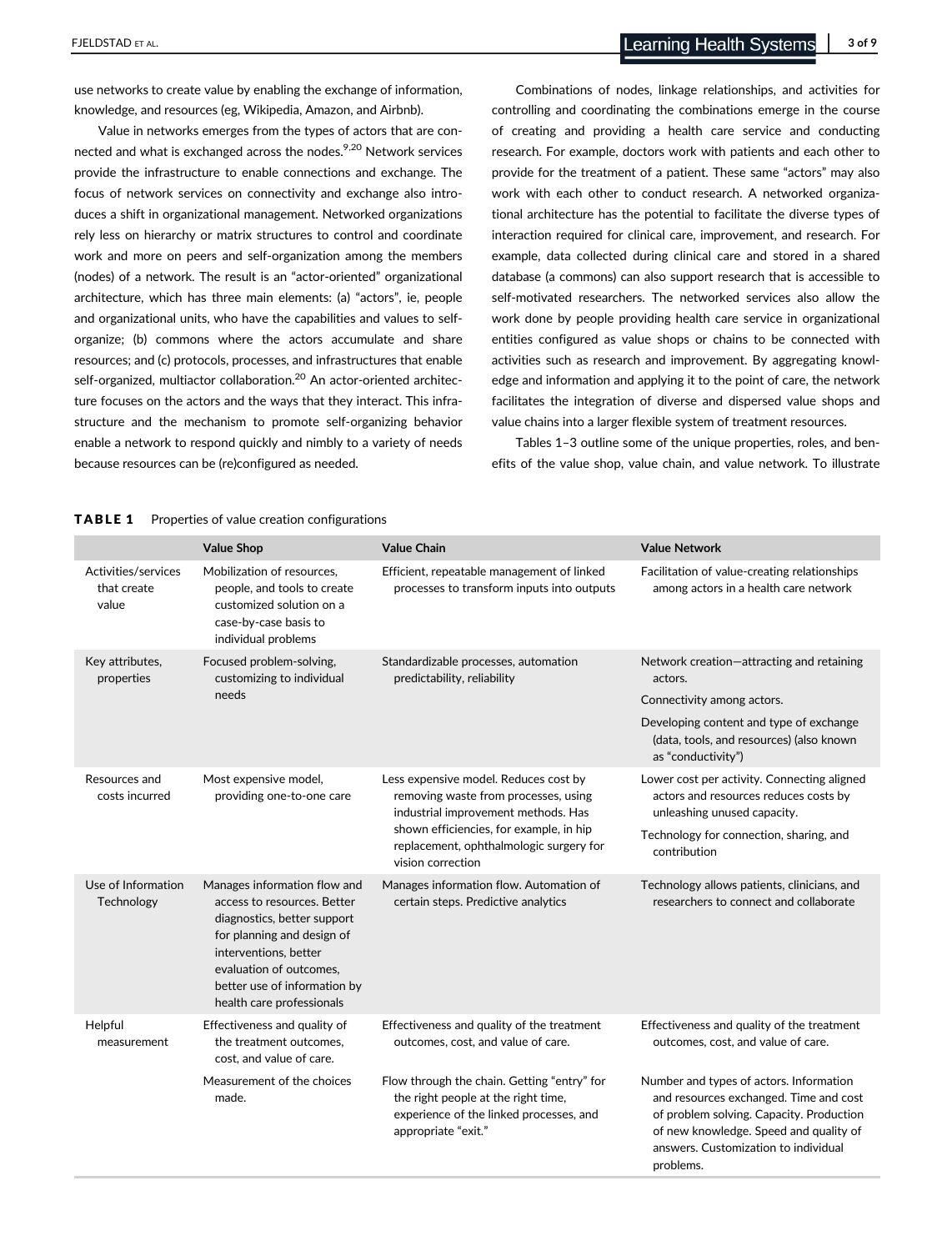use networks to create value by enabling the exchange of information, knowledge, and resources (eg, Wikipedia, Amazon, and Airbnb).

Value in networks emerges from the types of actors that are connected and what is exchanged across the nodes.<sup>9,20</sup> Network services provide the infrastructure to enable connections and exchange. The focus of network services on connectivity and exchange also introduces a shift in organizational management. Networked organizations rely less on hierarchy or matrix structures to control and coordinate work and more on peers and self-organization among the members (nodes) of a network. The result is an "actor-oriented" organizational architecture, which has three main elements: (a) "actors", ie, people and organizational units, who have the capabilities and values to selforganize; (b) commons where the actors accumulate and share resources; and (c) protocols, processes, and infrastructures that enable self-organized, multiactor collaboration.<sup>20</sup> An actor-oriented architecture focuses on the actors and the ways that they interact. This infrastructure and the mechanism to promote self-organizing behavior enable a network to respond quickly and nimbly to a variety of needs because resources can be (re)configured as needed.

Combinations of nodes, linkage relationships, and activities for controlling and coordinating the combinations emerge in the course of creating and providing a health care service and conducting research. For example, doctors work with patients and each other to provide for the treatment of a patient. These same "actors" may also work with each other to conduct research. A networked organizational architecture has the potential to facilitate the diverse types of interaction required for clinical care, improvement, and research. For example, data collected during clinical care and stored in a shared database (a commons) can also support research that is accessible to self-motivated researchers. The networked services also allow the work done by people providing health care service in organizational entities configured as value shops or chains to be connected with activities such as research and improvement. By aggregating knowledge and information and applying it to the point of care, the network facilitates the integration of diverse and dispersed value shops and value chains into a larger flexible system of treatment resources.

Tables 1–3 outline some of the unique properties, roles, and benefits of the value shop, value chain, and value network. To illustrate

#### TABLE 1 Properties of value creation configurations

|                                             | <b>Value Shop</b>                                                                                                                                                                                                                         | <b>Value Chain</b>                                                                                                                                                                                                              | <b>Value Network</b>                                                                                                                                                                                                         |
|---------------------------------------------|-------------------------------------------------------------------------------------------------------------------------------------------------------------------------------------------------------------------------------------------|---------------------------------------------------------------------------------------------------------------------------------------------------------------------------------------------------------------------------------|------------------------------------------------------------------------------------------------------------------------------------------------------------------------------------------------------------------------------|
| Activities/services<br>that create<br>value | Mobilization of resources.<br>people, and tools to create<br>customized solution on a<br>case-by-case basis to<br>individual problems                                                                                                     | Efficient, repeatable management of linked<br>processes to transform inputs into outputs                                                                                                                                        | Facilitation of value-creating relationships<br>among actors in a health care network                                                                                                                                        |
| Key attributes,<br>properties               | Focused problem-solving,<br>customizing to individual<br>needs                                                                                                                                                                            | Standardizable processes, automation<br>predictability, reliability                                                                                                                                                             | Network creation-attracting and retaining<br>actors.<br>Connectivity among actors.<br>Developing content and type of exchange<br>(data, tools, and resources) (also known<br>as "conductivity")                              |
| Resources and<br>costs incurred             | Most expensive model,<br>providing one-to-one care                                                                                                                                                                                        | Less expensive model. Reduces cost by<br>removing waste from processes, using<br>industrial improvement methods. Has<br>shown efficiencies, for example, in hip<br>replacement, ophthalmologic surgery for<br>vision correction | Lower cost per activity. Connecting aligned<br>actors and resources reduces costs by<br>unleashing unused capacity.<br>Technology for connection, sharing, and<br>contribution                                               |
| Use of Information<br>Technology            | Manages information flow and<br>access to resources. Better<br>diagnostics, better support<br>for planning and design of<br>interventions, better<br>evaluation of outcomes,<br>better use of information by<br>health care professionals | Manages information flow. Automation of<br>certain steps. Predictive analytics                                                                                                                                                  | Technology allows patients, clinicians, and<br>researchers to connect and collaborate                                                                                                                                        |
| Helpful<br>measurement                      | Effectiveness and quality of<br>the treatment outcomes.<br>cost, and value of care.                                                                                                                                                       | Effectiveness and quality of the treatment<br>outcomes, cost, and value of care.                                                                                                                                                | Effectiveness and quality of the treatment<br>outcomes, cost, and value of care.                                                                                                                                             |
|                                             | Measurement of the choices<br>made.                                                                                                                                                                                                       | Flow through the chain. Getting "entry" for<br>the right people at the right time,<br>experience of the linked processes, and<br>appropriate "exit."                                                                            | Number and types of actors. Information<br>and resources exchanged. Time and cost<br>of problem solving. Capacity. Production<br>of new knowledge. Speed and quality of<br>answers. Customization to individual<br>problems. |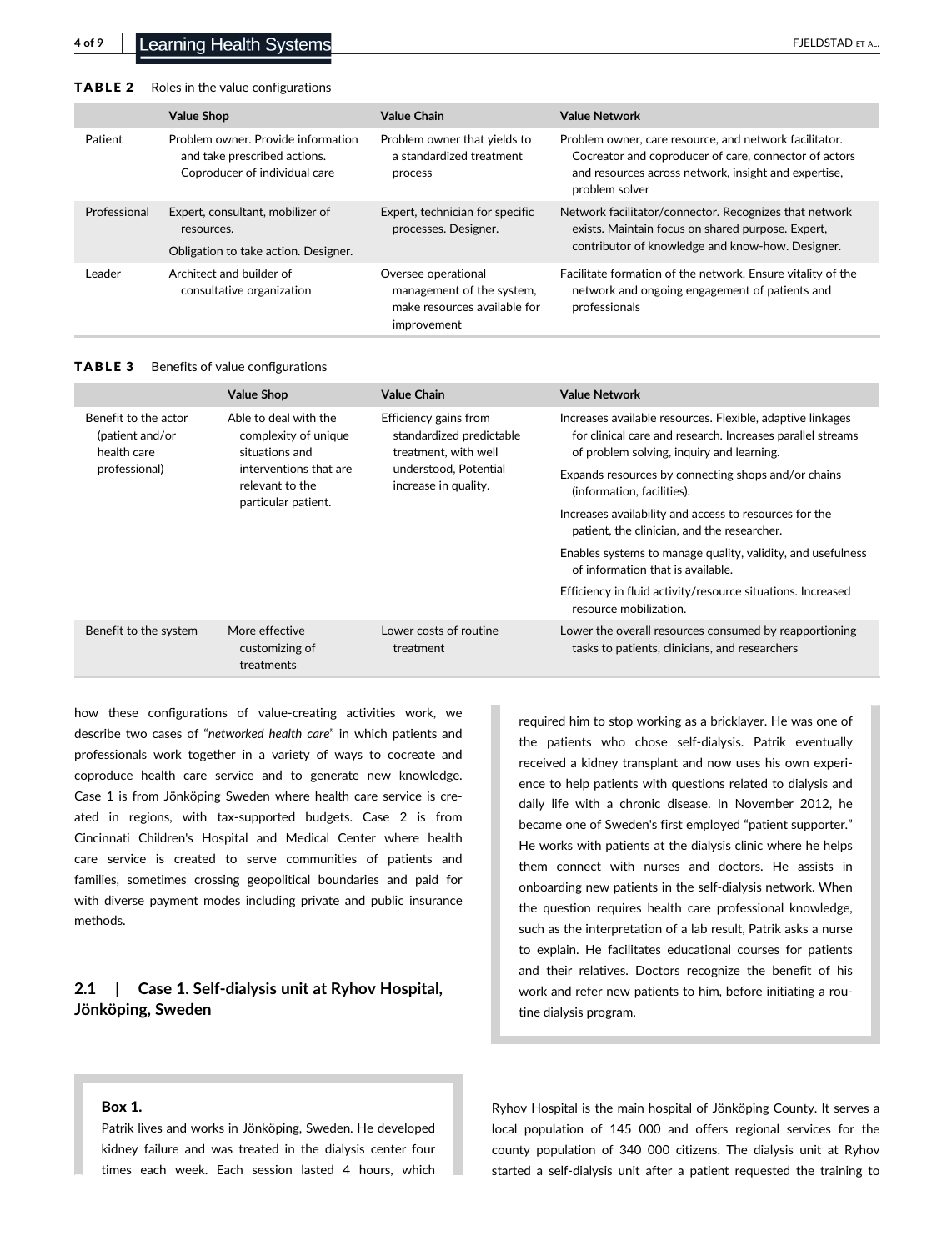TABLE 2 Roles in the value configurations

|              | <b>Value Shop</b>                                                                                   | Value Chain                                                                                     | <b>Value Network</b>                                                                                                                                                                      |
|--------------|-----------------------------------------------------------------------------------------------------|-------------------------------------------------------------------------------------------------|-------------------------------------------------------------------------------------------------------------------------------------------------------------------------------------------|
| Patient      | Problem owner. Provide information<br>and take prescribed actions.<br>Coproducer of individual care | Problem owner that yields to<br>a standardized treatment<br>process                             | Problem owner, care resource, and network facilitator.<br>Cocreator and coproducer of care, connector of actors<br>and resources across network, insight and expertise,<br>problem solver |
| Professional | Expert, consultant, mobilizer of<br>resources.<br>Obligation to take action. Designer.              | Expert, technician for specific<br>processes. Designer.                                         | Network facilitator/connector. Recognizes that network<br>exists. Maintain focus on shared purpose. Expert,<br>contributor of knowledge and know-how. Designer.                           |
| Leader       | Architect and builder of<br>consultative organization                                               | Oversee operational<br>management of the system,<br>make resources available for<br>improvement | Facilitate formation of the network. Ensure vitality of the<br>network and ongoing engagement of patients and<br>professionals                                                            |

#### TABLE 3 Benefits of value configurations

|                                                        | <b>Value Shop</b>                                                                                                                   | <b>Value Chain</b>                                                                                                         | <b>Value Network</b>                                                                                                                                                  |
|--------------------------------------------------------|-------------------------------------------------------------------------------------------------------------------------------------|----------------------------------------------------------------------------------------------------------------------------|-----------------------------------------------------------------------------------------------------------------------------------------------------------------------|
| Benefit to the actor<br>(patient and/or<br>health care | Able to deal with the<br>complexity of unique<br>situations and<br>interventions that are<br>relevant to the<br>particular patient. | Efficiency gains from<br>standardized predictable<br>treatment, with well<br>understood. Potential<br>increase in quality. | Increases available resources. Flexible, adaptive linkages<br>for clinical care and research. Increases parallel streams<br>of problem solving, inquiry and learning. |
| professional)                                          |                                                                                                                                     |                                                                                                                            | Expands resources by connecting shops and/or chains<br>(information, facilities).                                                                                     |
|                                                        |                                                                                                                                     |                                                                                                                            | Increases availability and access to resources for the<br>patient, the clinician, and the researcher.                                                                 |
|                                                        |                                                                                                                                     |                                                                                                                            | Enables systems to manage quality, validity, and usefulness<br>of information that is available.                                                                      |
|                                                        |                                                                                                                                     |                                                                                                                            | Efficiency in fluid activity/resource situations. Increased<br>resource mobilization.                                                                                 |
| Benefit to the system                                  | More effective<br>customizing of<br>treatments                                                                                      | Lower costs of routine<br>treatment                                                                                        | Lower the overall resources consumed by reapportioning<br>tasks to patients, clinicians, and researchers                                                              |

how these configurations of value-creating activities work, we describe two cases of "*networked health care*" in which patients and professionals work together in a variety of ways to cocreate and coproduce health care service and to generate new knowledge. Case 1 is from Jönköping Sweden where health care service is created in regions, with tax-supported budgets. Case 2 is from Cincinnati Children's Hospital and Medical Center where health care service is created to serve communities of patients and families, sometimes crossing geopolitical boundaries and paid for with diverse payment modes including private and public insurance methods.

# **2.1** | **Case 1. Self-dialysis unit at Ryhov Hospital, Jönköping, Sweden**

required him to stop working as a bricklayer. He was one of the patients who chose self-dialysis. Patrik eventually received a kidney transplant and now uses his own experience to help patients with questions related to dialysis and daily life with a chronic disease. In November 2012, he became one of Sweden's first employed "patient supporter." He works with patients at the dialysis clinic where he helps them connect with nurses and doctors. He assists in onboarding new patients in the self-dialysis network. When the question requires health care professional knowledge, such as the interpretation of a lab result, Patrik asks a nurse to explain. He facilitates educational courses for patients and their relatives. Doctors recognize the benefit of his work and refer new patients to him, before initiating a routine dialysis program.

#### Box 1.

Patrik lives and works in Jönköping, Sweden. He developed kidney failure and was treated in the dialysis center four times each week. Each session lasted 4 hours, which Ryhov Hospital is the main hospital of Jönköping County. It serves a local population of 145 000 and offers regional services for the county population of 340 000 citizens. The dialysis unit at Ryhov started a self-dialysis unit after a patient requested the training to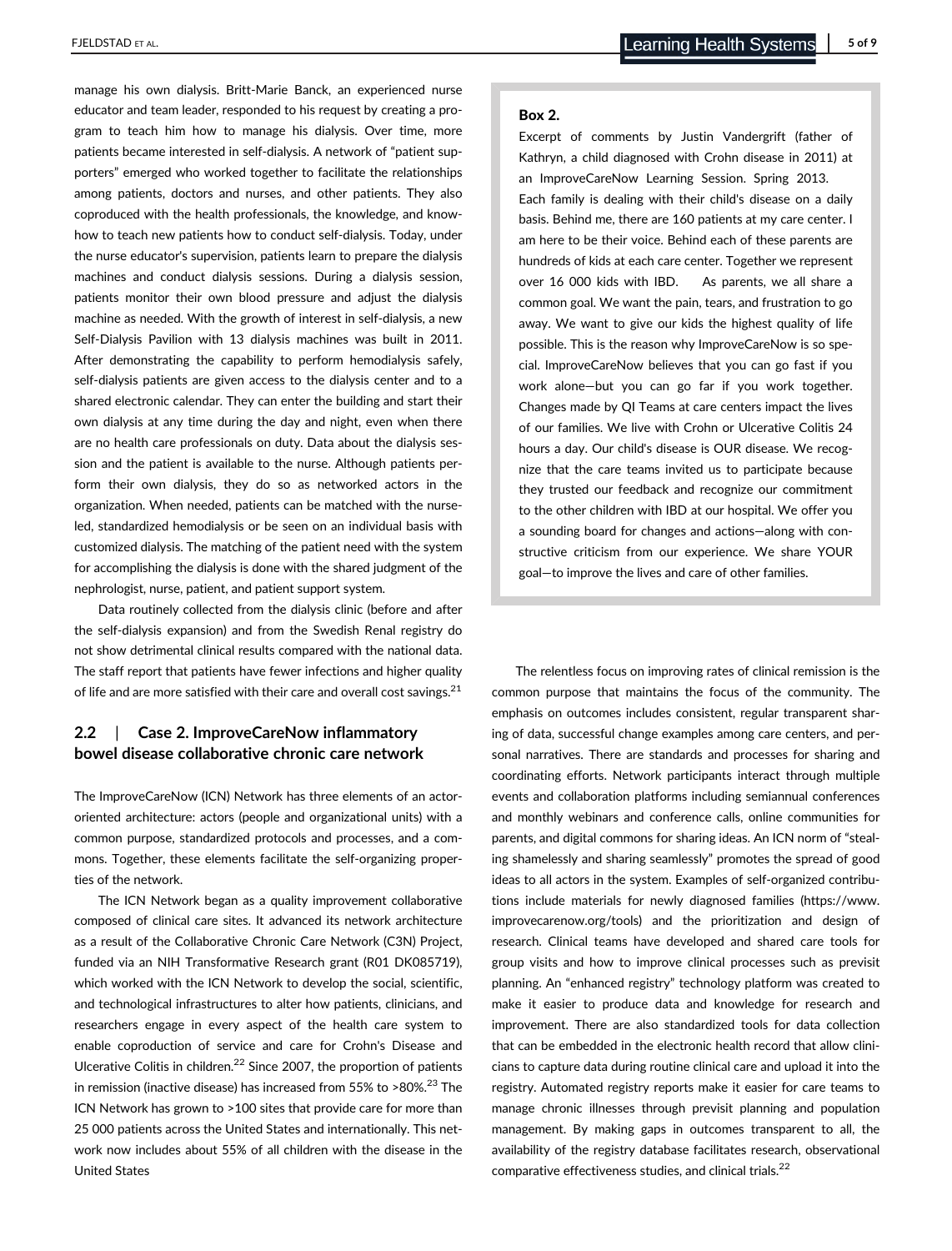manage his own dialysis. Britt-Marie Banck, an experienced nurse educator and team leader, responded to his request by creating a program to teach him how to manage his dialysis. Over time, more patients became interested in self-dialysis. A network of "patient supporters" emerged who worked together to facilitate the relationships among patients, doctors and nurses, and other patients. They also coproduced with the health professionals, the knowledge, and knowhow to teach new patients how to conduct self-dialysis. Today, under the nurse educator's supervision, patients learn to prepare the dialysis machines and conduct dialysis sessions. During a dialysis session, patients monitor their own blood pressure and adjust the dialysis machine as needed. With the growth of interest in self-dialysis, a new Self-Dialysis Pavilion with 13 dialysis machines was built in 2011. After demonstrating the capability to perform hemodialysis safely, self-dialysis patients are given access to the dialysis center and to a shared electronic calendar. They can enter the building and start their own dialysis at any time during the day and night, even when there are no health care professionals on duty. Data about the dialysis session and the patient is available to the nurse. Although patients perform their own dialysis, they do so as networked actors in the organization. When needed, patients can be matched with the nurseled, standardized hemodialysis or be seen on an individual basis with customized dialysis. The matching of the patient need with the system for accomplishing the dialysis is done with the shared judgment of the nephrologist, nurse, patient, and patient support system.

Data routinely collected from the dialysis clinic (before and after the self-dialysis expansion) and from the Swedish Renal registry do not show detrimental clinical results compared with the national data. The staff report that patients have fewer infections and higher quality of life and are more satisfied with their care and overall cost savings.  $21$ 

# **2.2** | **Case 2. ImproveCareNow inflammatory bowel disease collaborative chronic care network**

The ImproveCareNow (ICN) Network has three elements of an actororiented architecture: actors (people and organizational units) with a common purpose, standardized protocols and processes, and a commons. Together, these elements facilitate the self-organizing properties of the network.

The ICN Network began as a quality improvement collaborative composed of clinical care sites. It advanced its network architecture as a result of the Collaborative Chronic Care Network (C3N) Project, funded via an NIH Transformative Research grant (R01 DK085719), which worked with the ICN Network to develop the social, scientific, and technological infrastructures to alter how patients, clinicians, and researchers engage in every aspect of the health care system to enable coproduction of service and care for Crohn's Disease and Ulcerative Colitis in children.<sup>22</sup> Since 2007, the proportion of patients in remission (inactive disease) has increased from 55% to  $>80\%$ <sup>23</sup> The ICN Network has grown to >100 sites that provide care for more than 25 000 patients across the United States and internationally. This network now includes about 55% of all children with the disease in the United States

#### Box 2.

Excerpt of comments by Justin Vandergrift (father of Kathryn, a child diagnosed with Crohn disease in 2011) at an ImproveCareNow Learning Session. Spring 2013. Each family is dealing with their child's disease on a daily basis. Behind me, there are 160 patients at my care center. I am here to be their voice. Behind each of these parents are hundreds of kids at each care center. Together we represent over 16 000 kids with IBD. As parents, we all share a common goal. We want the pain, tears, and frustration to go away. We want to give our kids the highest quality of life possible. This is the reason why ImproveCareNow is so special. ImproveCareNow believes that you can go fast if you work alone—but you can go far if you work together. Changes made by QI Teams at care centers impact the lives of our families. We live with Crohn or Ulcerative Colitis 24 hours a day. Our child's disease is OUR disease. We recognize that the care teams invited us to participate because they trusted our feedback and recognize our commitment to the other children with IBD at our hospital. We offer you a sounding board for changes and actions—along with constructive criticism from our experience. We share YOUR goal—to improve the lives and care of other families.

The relentless focus on improving rates of clinical remission is the common purpose that maintains the focus of the community. The emphasis on outcomes includes consistent, regular transparent sharing of data, successful change examples among care centers, and personal narratives. There are standards and processes for sharing and coordinating efforts. Network participants interact through multiple events and collaboration platforms including semiannual conferences and monthly webinars and conference calls, online communities for parents, and digital commons for sharing ideas. An ICN norm of "stealing shamelessly and sharing seamlessly" promotes the spread of good ideas to all actors in the system. Examples of self-organized contributions include materials for newly diagnosed families ([https://www.](https://www.improvecarenow.org/tools) [improvecarenow.org/tools\)](https://www.improvecarenow.org/tools) and the prioritization and design of research. Clinical teams have developed and shared care tools for group visits and how to improve clinical processes such as previsit planning. An "enhanced registry" technology platform was created to make it easier to produce data and knowledge for research and improvement. There are also standardized tools for data collection that can be embedded in the electronic health record that allow clinicians to capture data during routine clinical care and upload it into the registry. Automated registry reports make it easier for care teams to manage chronic illnesses through previsit planning and population management. By making gaps in outcomes transparent to all, the availability of the registry database facilitates research, observational comparative effectiveness studies, and clinical trials.<sup>22</sup>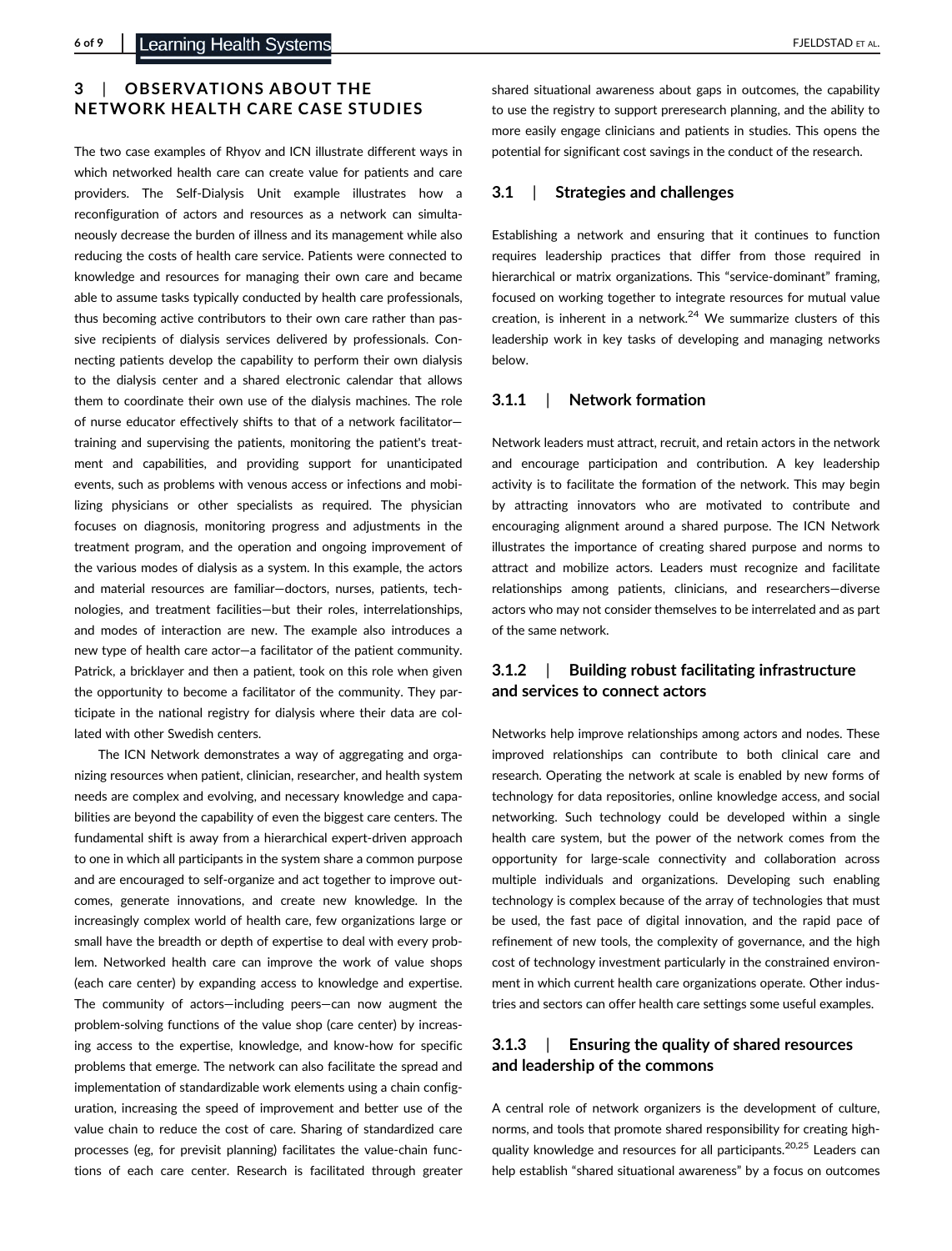# **3** | **OBSERVATIONS ABOUT THE NETWORK HEALTH CARE CASE STUDIES**

The two case examples of Rhyov and ICN illustrate different ways in which networked health care can create value for patients and care providers. The Self-Dialysis Unit example illustrates how a reconfiguration of actors and resources as a network can simultaneously decrease the burden of illness and its management while also reducing the costs of health care service. Patients were connected to knowledge and resources for managing their own care and became able to assume tasks typically conducted by health care professionals, thus becoming active contributors to their own care rather than passive recipients of dialysis services delivered by professionals. Connecting patients develop the capability to perform their own dialysis to the dialysis center and a shared electronic calendar that allows them to coordinate their own use of the dialysis machines. The role of nurse educator effectively shifts to that of a network facilitator training and supervising the patients, monitoring the patient's treatment and capabilities, and providing support for unanticipated events, such as problems with venous access or infections and mobilizing physicians or other specialists as required. The physician focuses on diagnosis, monitoring progress and adjustments in the treatment program, and the operation and ongoing improvement of the various modes of dialysis as a system. In this example, the actors and material resources are familiar—doctors, nurses, patients, technologies, and treatment facilities—but their roles, interrelationships, and modes of interaction are new. The example also introduces a new type of health care actor—a facilitator of the patient community. Patrick, a bricklayer and then a patient, took on this role when given the opportunity to become a facilitator of the community. They participate in the national registry for dialysis where their data are collated with other Swedish centers.

The ICN Network demonstrates a way of aggregating and organizing resources when patient, clinician, researcher, and health system needs are complex and evolving, and necessary knowledge and capabilities are beyond the capability of even the biggest care centers. The fundamental shift is away from a hierarchical expert-driven approach to one in which all participants in the system share a common purpose and are encouraged to self-organize and act together to improve outcomes, generate innovations, and create new knowledge. In the increasingly complex world of health care, few organizations large or small have the breadth or depth of expertise to deal with every problem. Networked health care can improve the work of value shops (each care center) by expanding access to knowledge and expertise. The community of actors—including peers—can now augment the problem-solving functions of the value shop (care center) by increasing access to the expertise, knowledge, and know-how for specific problems that emerge. The network can also facilitate the spread and implementation of standardizable work elements using a chain configuration, increasing the speed of improvement and better use of the value chain to reduce the cost of care. Sharing of standardized care processes (eg, for previsit planning) facilitates the value-chain functions of each care center. Research is facilitated through greater shared situational awareness about gaps in outcomes, the capability to use the registry to support preresearch planning, and the ability to more easily engage clinicians and patients in studies. This opens the potential for significant cost savings in the conduct of the research.

#### **3.1** | **Strategies and challenges**

Establishing a network and ensuring that it continues to function requires leadership practices that differ from those required in hierarchical or matrix organizations. This "service-dominant" framing, focused on working together to integrate resources for mutual value creation, is inherent in a network.<sup>24</sup> We summarize clusters of this leadership work in key tasks of developing and managing networks below.

#### **3.1.1** | **Network formation**

Network leaders must attract, recruit, and retain actors in the network and encourage participation and contribution. A key leadership activity is to facilitate the formation of the network. This may begin by attracting innovators who are motivated to contribute and encouraging alignment around a shared purpose. The ICN Network illustrates the importance of creating shared purpose and norms to attract and mobilize actors. Leaders must recognize and facilitate relationships among patients, clinicians, and researchers—diverse actors who may not consider themselves to be interrelated and as part of the same network.

# **3.1.2** | **Building robust facilitating infrastructure and services to connect actors**

Networks help improve relationships among actors and nodes. These improved relationships can contribute to both clinical care and research. Operating the network at scale is enabled by new forms of technology for data repositories, online knowledge access, and social networking. Such technology could be developed within a single health care system, but the power of the network comes from the opportunity for large-scale connectivity and collaboration across multiple individuals and organizations. Developing such enabling technology is complex because of the array of technologies that must be used, the fast pace of digital innovation, and the rapid pace of refinement of new tools, the complexity of governance, and the high cost of technology investment particularly in the constrained environment in which current health care organizations operate. Other industries and sectors can offer health care settings some useful examples.

# **3.1.3** | **Ensuring the quality of shared resources and leadership of the commons**

A central role of network organizers is the development of culture, norms, and tools that promote shared responsibility for creating highquality knowledge and resources for all participants.<sup>20,25</sup> Leaders can help establish "shared situational awareness" by a focus on outcomes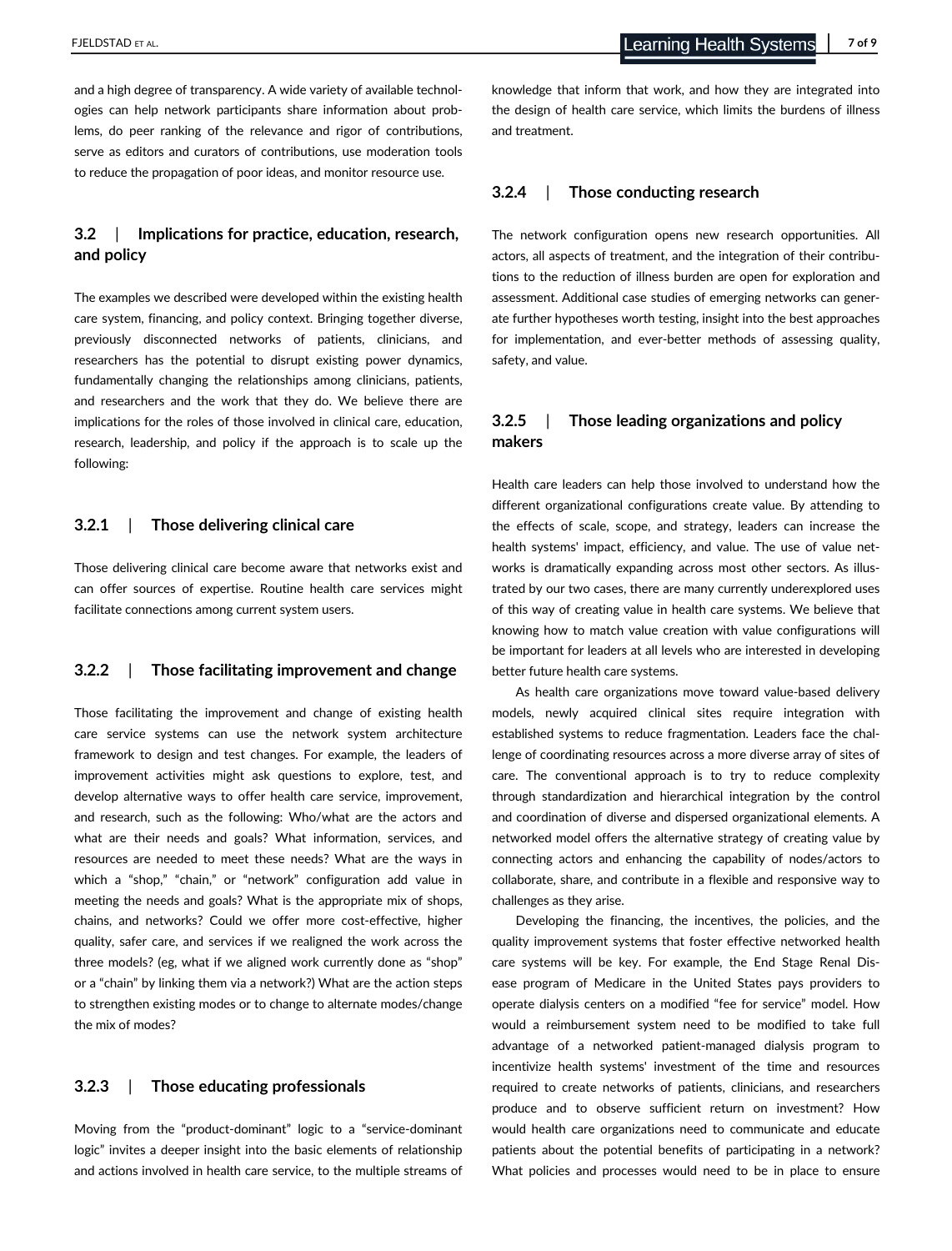and a high degree of transparency. A wide variety of available technologies can help network participants share information about problems, do peer ranking of the relevance and rigor of contributions, serve as editors and curators of contributions, use moderation tools to reduce the propagation of poor ideas, and monitor resource use.

# **3.2** | **Implications for practice, education, research, and policy**

The examples we described were developed within the existing health care system, financing, and policy context. Bringing together diverse, previously disconnected networks of patients, clinicians, and researchers has the potential to disrupt existing power dynamics, fundamentally changing the relationships among clinicians, patients, and researchers and the work that they do. We believe there are implications for the roles of those involved in clinical care, education, research, leadership, and policy if the approach is to scale up the following:

#### **3.2.1** | **Those delivering clinical care**

Those delivering clinical care become aware that networks exist and can offer sources of expertise. Routine health care services might facilitate connections among current system users.

#### **3.2.2** | **Those facilitating improvement and change**

Those facilitating the improvement and change of existing health care service systems can use the network system architecture framework to design and test changes. For example, the leaders of improvement activities might ask questions to explore, test, and develop alternative ways to offer health care service, improvement, and research, such as the following: Who/what are the actors and what are their needs and goals? What information, services, and resources are needed to meet these needs? What are the ways in which a "shop," "chain," or "network" configuration add value in meeting the needs and goals? What is the appropriate mix of shops, chains, and networks? Could we offer more cost-effective, higher quality, safer care, and services if we realigned the work across the three models? (eg, what if we aligned work currently done as "shop" or a "chain" by linking them via a network?) What are the action steps to strengthen existing modes or to change to alternate modes/change the mix of modes?

#### **3.2.3** | **Those educating professionals**

Moving from the "product-dominant" logic to a "service-dominant logic" invites a deeper insight into the basic elements of relationship and actions involved in health care service, to the multiple streams of knowledge that inform that work, and how they are integrated into the design of health care service, which limits the burdens of illness and treatment.

#### **3.2.4** | **Those conducting research**

The network configuration opens new research opportunities. All actors, all aspects of treatment, and the integration of their contributions to the reduction of illness burden are open for exploration and assessment. Additional case studies of emerging networks can generate further hypotheses worth testing, insight into the best approaches for implementation, and ever-better methods of assessing quality, safety, and value.

# **3.2.5** | **Those leading organizations and policy makers**

Health care leaders can help those involved to understand how the different organizational configurations create value. By attending to the effects of scale, scope, and strategy, leaders can increase the health systems' impact, efficiency, and value. The use of value networks is dramatically expanding across most other sectors. As illustrated by our two cases, there are many currently underexplored uses of this way of creating value in health care systems. We believe that knowing how to match value creation with value configurations will be important for leaders at all levels who are interested in developing better future health care systems.

As health care organizations move toward value-based delivery models, newly acquired clinical sites require integration with established systems to reduce fragmentation. Leaders face the challenge of coordinating resources across a more diverse array of sites of care. The conventional approach is to try to reduce complexity through standardization and hierarchical integration by the control and coordination of diverse and dispersed organizational elements. A networked model offers the alternative strategy of creating value by connecting actors and enhancing the capability of nodes/actors to collaborate, share, and contribute in a flexible and responsive way to challenges as they arise.

Developing the financing, the incentives, the policies, and the quality improvement systems that foster effective networked health care systems will be key. For example, the End Stage Renal Disease program of Medicare in the United States pays providers to operate dialysis centers on a modified "fee for service" model. How would a reimbursement system need to be modified to take full advantage of a networked patient-managed dialysis program to incentivize health systems' investment of the time and resources required to create networks of patients, clinicians, and researchers produce and to observe sufficient return on investment? How would health care organizations need to communicate and educate patients about the potential benefits of participating in a network? What policies and processes would need to be in place to ensure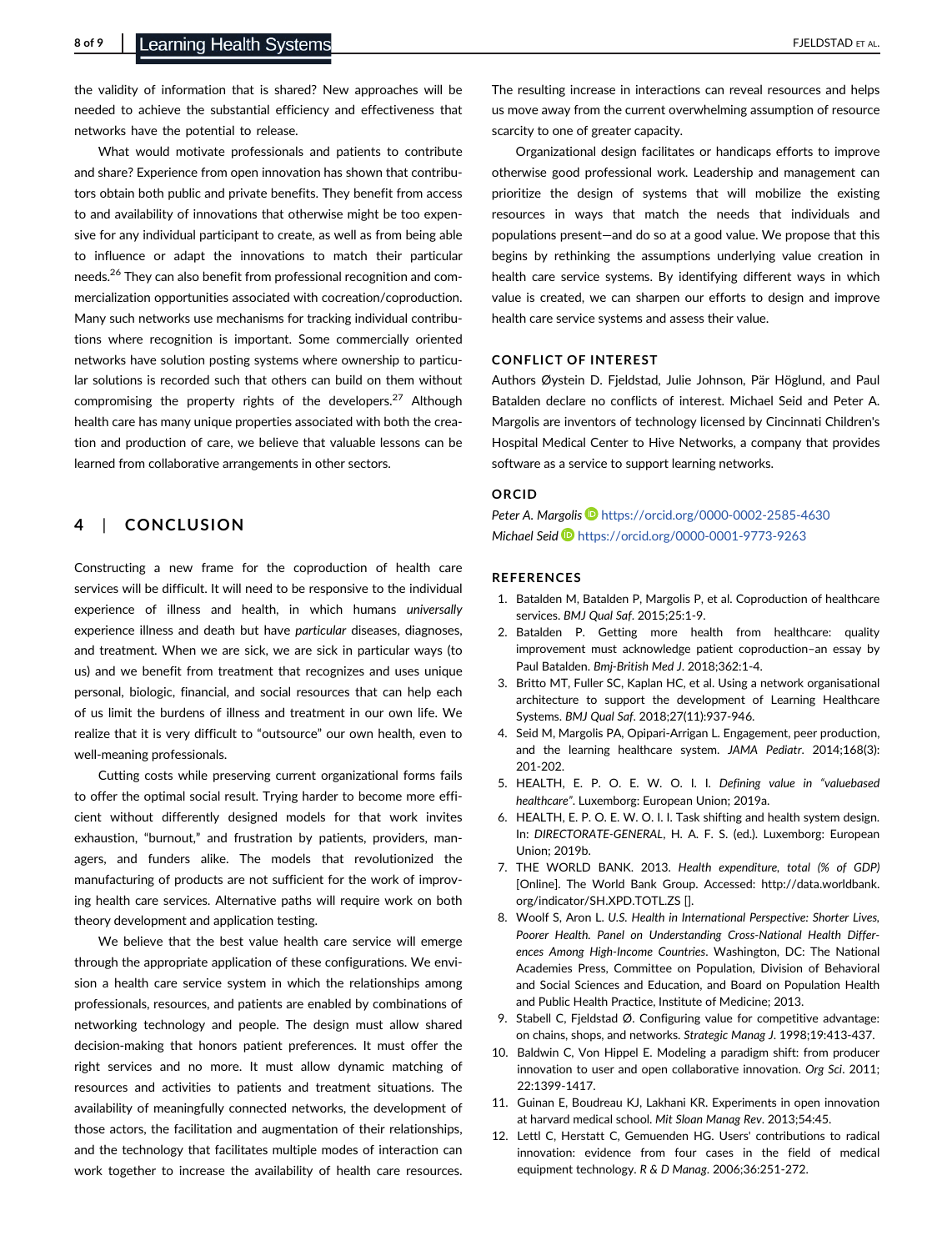the validity of information that is shared? New approaches will be needed to achieve the substantial efficiency and effectiveness that networks have the potential to release.

What would motivate professionals and patients to contribute and share? Experience from open innovation has shown that contributors obtain both public and private benefits. They benefit from access to and availability of innovations that otherwise might be too expensive for any individual participant to create, as well as from being able to influence or adapt the innovations to match their particular needs.26 They can also benefit from professional recognition and commercialization opportunities associated with cocreation/coproduction. Many such networks use mechanisms for tracking individual contributions where recognition is important. Some commercially oriented networks have solution posting systems where ownership to particular solutions is recorded such that others can build on them without compromising the property rights of the developers.<sup>27</sup> Although health care has many unique properties associated with both the creation and production of care, we believe that valuable lessons can be learned from collaborative arrangements in other sectors.

### **4** | **CONCLUSION**

Constructing a new frame for the coproduction of health care services will be difficult. It will need to be responsive to the individual experience of illness and health, in which humans *universally* experience illness and death but have *particular* diseases, diagnoses, and treatment. When we are sick, we are sick in particular ways (to us) and we benefit from treatment that recognizes and uses unique personal, biologic, financial, and social resources that can help each of us limit the burdens of illness and treatment in our own life. We realize that it is very difficult to "outsource" our own health, even to well-meaning professionals.

Cutting costs while preserving current organizational forms fails to offer the optimal social result. Trying harder to become more efficient without differently designed models for that work invites exhaustion, "burnout," and frustration by patients, providers, managers, and funders alike. The models that revolutionized the manufacturing of products are not sufficient for the work of improving health care services. Alternative paths will require work on both theory development and application testing.

We believe that the best value health care service will emerge through the appropriate application of these configurations. We envision a health care service system in which the relationships among professionals, resources, and patients are enabled by combinations of networking technology and people. The design must allow shared decision-making that honors patient preferences. It must offer the right services and no more. It must allow dynamic matching of resources and activities to patients and treatment situations. The availability of meaningfully connected networks, the development of those actors, the facilitation and augmentation of their relationships, and the technology that facilitates multiple modes of interaction can work together to increase the availability of health care resources.

The resulting increase in interactions can reveal resources and helps us move away from the current overwhelming assumption of resource scarcity to one of greater capacity.

Organizational design facilitates or handicaps efforts to improve otherwise good professional work. Leadership and management can prioritize the design of systems that will mobilize the existing resources in ways that match the needs that individuals and populations present—and do so at a good value. We propose that this begins by rethinking the assumptions underlying value creation in health care service systems. By identifying different ways in which value is created, we can sharpen our efforts to design and improve health care service systems and assess their value.

#### **CONFLICT OF INTEREST**

Authors Øystein D. Fjeldstad, Julie Johnson, Pär Höglund, and Paul Batalden declare no conflicts of interest. Michael Seid and Peter A. Margolis are inventors of technology licensed by Cincinnati Children's Hospital Medical Center to Hive Networks, a company that provides software as a service to support learning networks.

#### **ORCID**

*Peter A. Margolis* <https://orcid.org/0000-0002-2585-4630> *Michael Seid* <https://orcid.org/0000-0001-9773-9263>

#### **REFERENCES**

- 1. Batalden M, Batalden P, Margolis P, et al. Coproduction of healthcare services. *BMJ Qual Saf*. 2015;25:1-9.
- 2. Batalden P. Getting more health from healthcare: quality improvement must acknowledge patient coproduction–an essay by Paul Batalden. *Bmj-British Med J*. 2018;362:1-4.
- 3. Britto MT, Fuller SC, Kaplan HC, et al. Using a network organisational architecture to support the development of Learning Healthcare Systems. *BMJ Qual Saf*. 2018;27(11):937-946.
- 4. Seid M, Margolis PA, Opipari-Arrigan L. Engagement, peer production, and the learning healthcare system. *JAMA Pediatr*. 2014;168(3): 201-202.
- 5. HEALTH, E. P. O. E. W. O. I. I. *Defining value in "valuebased healthcare"*. Luxemborg: European Union; 2019a.
- 6. HEALTH, E. P. O. E. W. O. I. I. Task shifting and health system design. In: *DIRECTORATE-GENERAL*, H. A. F. S. (ed.). Luxemborg: European Union; 2019b.
- 7. THE WORLD BANK. 2013. *Health expenditure, total (% of GDP)* [Online]. The World Bank Group. Accessed: [http://data.worldbank.](http://data.worldbank.org/indicator/SH.XPD.TOTL.ZS) [org/indicator/SH.XPD.TOTL.ZS](http://data.worldbank.org/indicator/SH.XPD.TOTL.ZS) [].
- 8. Woolf S, Aron L. *U.S. Health in International Perspective: Shorter Lives, Poorer Health. Panel on Understanding Cross-National Health Differences Among High-Income Countries*. Washington, DC: The National Academies Press, Committee on Population, Division of Behavioral and Social Sciences and Education, and Board on Population Health and Public Health Practice, Institute of Medicine; 2013.
- 9. Stabell C, Fjeldstad Ø. Configuring value for competitive advantage: on chains, shops, and networks. *Strategic Manag J*. 1998;19:413-437.
- 10. Baldwin C, Von Hippel E. Modeling a paradigm shift: from producer innovation to user and open collaborative innovation. *Org Sci*. 2011; 22:1399-1417.
- 11. Guinan E, Boudreau KJ, Lakhani KR. Experiments in open innovation at harvard medical school. *Mit Sloan Manag Rev*. 2013;54:45.
- 12. Lettl C, Herstatt C, Gemuenden HG. Users' contributions to radical innovation: evidence from four cases in the field of medical equipment technology. *R & D Manag*. 2006;36:251-272.